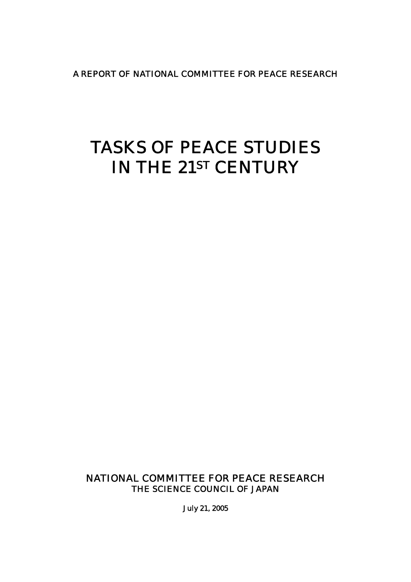A REPORT OF NATIONAL COMMITTEE FOR PEACE RESEARCH

# TASKS OF PEACE STUDIES IN THE 21ST CENTURY

NATIONAL COMMITTEE FOR PEACE RESEARCH THE SCIENCE COUNCIL OF JAPAN

July 21, 2005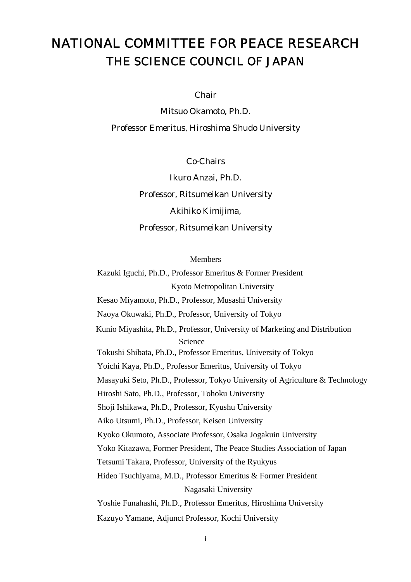## NATIONAL COMMITTEE FOR PEACE RESEARCH THE SCIENCE COUNCIL OF JAPAN

Chair

Mitsuo Okamoto, Ph.D. Professor Emeritus, Hiroshima Shudo University

Co-Chairs

Ikuro Anzai, Ph.D. Professor, Ritsumeikan University Akihiko Kimijima, Professor, Ritsumeikan University

Members

Kazuki Iguchi, Ph.D., Professor Emeritus & Former President Kyoto Metropolitan University

Kesao Miyamoto, Ph.D., Professor, Musashi University

Naoya Okuwaki, Ph.D., Professor, University of Tokyo

Kunio Miyashita, Ph.D., Professor, University of Marketing and Distribution Science

Tokushi Shibata, Ph.D., Professor Emeritus, University of Tokyo

Yoichi Kaya, Ph.D., Professor Emeritus, University of Tokyo

M asayuki Seto, Ph.D., Professor, Tokyo University of Agriculture & Technology

Hiroshi Sato, Ph.D., Professor, Tohoku Universtiy

Shoji Ishikawa, Ph.D., Professor, Kyushu University

Aiko Utsumi, Ph.D., Professor, Keisen University

Kyoko Okumoto, Associate Professor, Osaka Jogakuin University

Yoko Kitazawa, Former President, The Peace Studies Association of Japan

Tetsumi Takara, Professor, University of the Ryukyus

Hideo Tsuchiyama, M.D., Professor Emeritus & Former President

Nagasaki University

Yoshie Funahashi, Ph.D., Professor Emeritus, Hiroshima University

Kazuyo Yamane, Adjunct Professor, Kochi University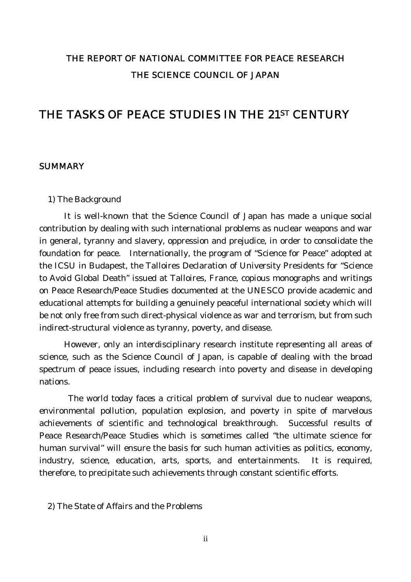## THE REPORT OF NATIONAL COMMITTEE FOR PEACE RESEARCH THE SCIENCE COUNCIL OF JAPAN

### THE TASKS OF PEACE STUDIES IN THE 21ST CENTURY

#### SUMMARY

#### 1) The Background

It is well-known that the Science Council of Japan has made a unique social contribution by dealing with such international problems as nuclear weapons and war in general, tyranny and slavery, oppression and prejudice, in order to consolidate the foundation for peace. Internationally, the program of "Science for Peace" adopted at the ICSU in Budapest, the Talloires Declaration of University Presidents for "Science to Avoid Global Death" issued at Talloires, France, copious monographs and writings on Peace Research/Peace Studies documented at the UNESCO provide academic and educational attempts for building a genuinely peaceful international society which will be not only free from such direct-physical violence as war and terrorism, but from such indirect-structural violence as tyranny, poverty, and disease.

However, only an interdisciplinary research institute representing all areas of science, such as the Science Council of Japan, is capable of dealing with the broad spectrum of peace issues, including research into poverty and disease in developing nations.

 The world today faces a critical problem of survival due to nuclear weapons, environmental pollution, population explosion, and poverty in spite of marvelous achievements of scientific and technological breakthrough. Successful results of Peace Research/Peace Studies which is sometimes called "the ultimate science for human survival" will ensure the basis for such human activities as politics, economy, industry, science, education, arts, sports, and entertainments. It is required, therefore, to precipitate such achievements through constant scientific efforts.

#### 2) The State of Affairs and the Problems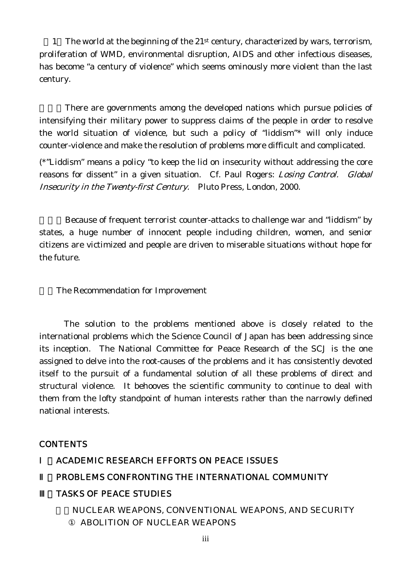1 The world at the beginning of the 21st century, characterized by wars, terrorism, proliferation of WMD, environmental disruption, AIDS and other infectious diseases, has become "a century of violence" which seems ominously more violent than the last century.

There are governments among the developed nations which pursue policies of intensifying their military power to suppress claims of the people in order to resolve the world situation of violence, but such a policy of "liddism"\* will only induce counter-violence and make the resolution of problems more difficult and complicated.

(\*"Liddism" means a policy "to keep the lid on insecurity without addressing the core reasons for dissent" in a given situation. Cf. Paul Rogers: Losing Control. Global Insecurity in the Twenty-first Century. Pluto Press, London, 2000.

Because of frequent terrorist counter-attacks to challenge war and "liddism" by states, a huge number of innocent people including children, women, and senior citizens are victimized and people are driven to miserable situations without hope for the future.

The Recommendation for Improvement

The solution to the problems mentioned above is closely related to the international problems which the Science Council of Japan has been addressing since its inception. The National Committee for Peace Research of the SCJ is the one assigned to delve into the root-causes of the problems and it has consistently devoted itself to the pursuit of a fundamental solution of all these problems of direct and structural violence. It behooves the scientific community to continue to deal with them from the lofty standpoint of human interests rather than the narrowly defined national interests.

#### **CONTENTS**

## Ⅰ.ACADEMIC RESEARCH EFFORTS ON PEACE ISSUES PROBLEMS CONFRONTING THE INTERNATIONAL COMMUNITY TASKS OF PEACE STUDIES

NUCLEAR WEAPONS, CONVENTIONAL WEAPONS, AND SECURITY ABOLITION OF NUCLEAR WEAPONS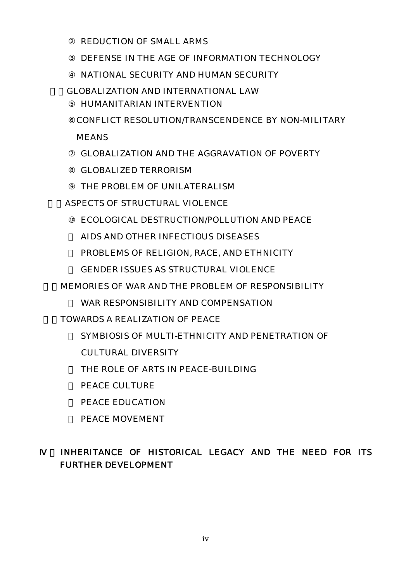REDUCTION OF SMALL ARMS

DEFENSE IN THE AGE OF INFORMATION TECHNOLOGY

NATIONAL SECURITY AND HUMAN SECURITY

2)GLOBALIZATION AND INTERNATIONAL LAW

HUMANITARIAN INTERVENTION

CONFLICT RESOLUTION/TRANSCENDENCE BY NON-MILITARY MEANS

GLOBALIZATION AND THE AGGRAVATION OF POVERTY

GLOBALIZED TERRORISM

THE PROBLEM OF UNILATERALISM

ASPECTS OF STRUCTURAL VIOLENCE

ECOLOGICAL DESTRUCTION/POLLUTION AND PEACE

AIDS AND OTHER INFECTIOUS DISEASES

PROBLEMS OF RELIGION, RACE, AND ETHNICITY

GENDER ISSUES AS STRUCTURAL VIOLENCE

4)MEMORIES OF WAR AND THE PROBLEM OF RESPONSIBILITY

WAR RESPONSIBILITY AND COMPENSATION

5)TOWARDS A REALIZATION OF PEACE

SYMBIOSIS OF MULTI-ETHNICITY AND PENETRATION OF

CULTURAL DIVERSITY

THE ROLE OF ARTS IN PEACE-BUILDING

PEACE CULTURE

PEACE EDUCATION

PEACE MOVEMENT

### INHERITANCE OF HISTORICAL LEGACY AND THE NEED FOR ITS FURTHER DEVELOPMENT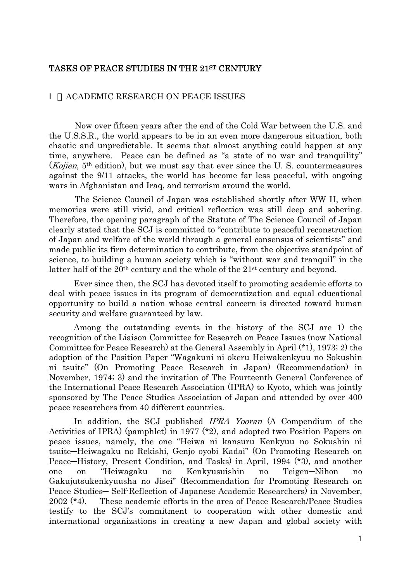#### TASKS OF PEACE STUDIES IN THE 21ST CENTURY

#### ACADEMIC RESEARCH ON PEACE ISSUES

Now over fifteen years after the end of the Cold War between the U.S. and the U.S.S.R., the world appears to be in an even more dangerous situation, both chaotic and unpredictable. It seems that almost anything could happen at any time, anywhere. Peace can be defined as "a state of no war and tranquility" (*Kojien*,  $5<sup>th</sup>$  edition), but we must say that ever since the U.S. countermeasures against the 9/11 attacks, the world has become far less peaceful, with ongoing wars in Afghanistan and Iraq, and terrorism around the world.

The Science Council of Japan was established shortly after WW II, when memories were still vivid, and critical reflection was still deep and sobering. Therefore, the opening paragraph of the Statute of The Science Council of Japan clearly stated that the SCJ is committed to "contribute to peaceful reconstruction of Japan and welfare of the world through a general consensus of scientists" and made public its firm determination to contribute, from the objective standpoint of science, to building a human society which is "without war and tranquil" in the latter half of the 20th century and the whole of the 21st century and beyond.

Ever since then, the SCJ has devoted itself to promoting academic efforts to deal with peace issues in its program of democratization and equal educational opportunity to build a nation whose central concern is directed toward human security and welfare guaranteed by law.

Among the outstanding events in the history of the SCJ are 1) the recognition of the Liaison Committee for Research on Peace Issues (now National Committee for Peace Research) at the General Assembly in April (\*1), 1973; 2) the adoption of the Position Paper "Wagakuni ni okeru Heiwakenkyuu no Sokushin ni tsuite" (On Promoting Peace Research in Japan) (Recommendation) in November, 1974; 3) and the invitation of The Fourteenth General Conference of the International Peace Research Association (IPRA) to Kyoto, which was jointly sponsored by The Peace Studies Association of Japan and attended by over 400 peace researchers from 40 different countries.

In addition, the SCJ published IPRA Yooran (A Compendium of the Activities of IPRA) (pamphlet) in 1977 (\*2), and adopted two Position Papers on peace issues, namely, the one "Heiwa ni kansuru Kenkyuu no Sokushin ni tsuite─Heiwagaku no Rekishi, Genjo oyobi Kadai" (On Promoting Research on Peace─History, Present Condition, and Tasks) in April, 1994 (\*3), and another one on "Heiwagaku no Kenkyusuishin no Teigen─Nihon no Gakujutsukenkyuusha no Jisei" (Recommendation for Promoting Research on Peace Studies─ Self-Reflection of Japanese Academic Researchers) in November, 2002 (\*4). These academic efforts in the area of Peace Research/Peace Studies testify to the SCJ's commitment to cooperation with other domestic and international organizations in creating a new Japan and global society with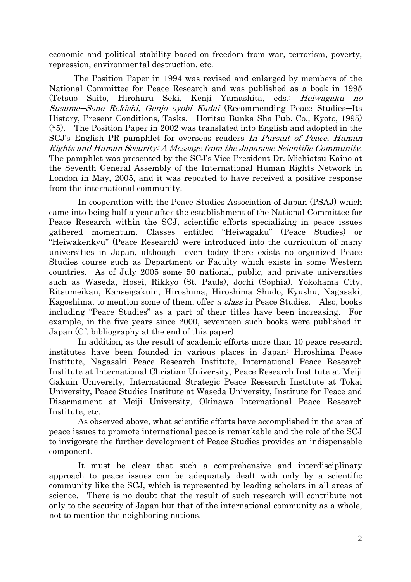economic and political stability based on freedom from war, terrorism, poverty, repression, environmental destruction, etc.

The Position Paper in 1994 was revised and enlarged by members of the National Committee for Peace Research and was published as a book in 1995 (Tetsuo Saito, Hiroharu Seki, Kenji Yamashita, eds.: Heiwagaku no Susume─Sono Rekishi, Genjo oyobi Kadai (Recommending Peace Studies─Its History, Present Conditions, Tasks. Horitsu Bunka Sha Pub. Co., Kyoto, 1995) (\*5). The Position Paper in 2002 was translated into English and adopted in the SCJ's English PR pamphlet for overseas readers In Pursuit of Peace, Human Rights and Human Security: A Message from the Japanese Scientific Community. The pamphlet was presented by the SCJ's Vice-President Dr. Michiatsu Kaino at the Seventh General Assembly of the International Human Rights Network in London in May, 2005, and it was reported to have received a positive response from the international community.

In cooperation with the Peace Studies Association of Japan (PSAJ) which came into being half a year after the establishment of the National Committee for Peace Research within the SCJ, scientific efforts specializing in peace issues gathered momentum. Classes entitled "Heiwagaku" (Peace Studies) or "Heiwakenkyu" (Peace Research) were introduced into the curriculum of many universities in Japan, although even today there exists no organized Peace Studies course such as Department or Faculty which exists in some Western countries. As of July 2005 some 50 national, public, and private universities such as Waseda, Hosei, Rikkyo (St. Pauls), Jochi (Sophia), Yokohama City, Ritsumeikan, Kanseigakuin, Hiroshima, Hiroshima Shudo, Kyushu, Nagasaki, Kagoshima, to mention some of them, offer a class in Peace Studies. Also, books including "Peace Studies" as a part of their titles have been increasing. For example, in the five years since 2000, seventeen such books were published in Japan (Cf. bibliography at the end of this paper).

In addition, as the result of academic efforts more than 10 peace research institutes have been founded in various places in Japan: Hiroshima Peace Institute, Nagasaki Peace Research Institute, International Peace Research Institute at International Christian University, Peace Research Institute at Meiji Gakuin University, International Strategic Peace Research Institute at Tokai University, Peace Studies Institute at Waseda University, Institute for Peace and Disarmament at Meiji University, Okinawa International Peace Research Institute, etc.

As observed above, what scientific efforts have accomplished in the area of peace issues to promote international peace is remarkable and the role of the SCJ to invigorate the further development of Peace Studies provides an indispensable component.

It must be clear that such a comprehensive and interdisciplinary approach to peace issues can be adequately dealt with only by a scientific community like the SCJ, which is represented by leading scholars in all areas of science. There is no doubt that the result of such research will contribute not only to the security of Japan but that of the international community as a whole, not to mention the neighboring nations.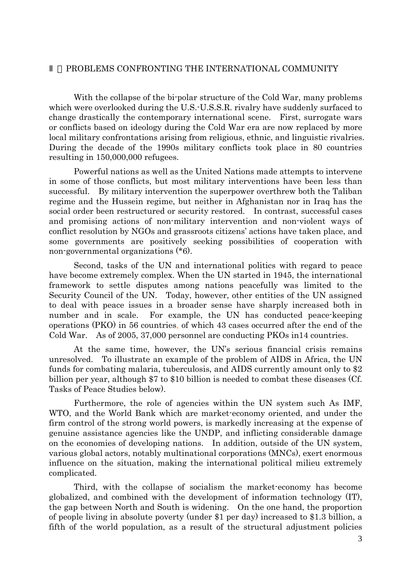#### PROBLEMS CONFRONTING THE INTERNATIONAL COMMUNITY

With the collapse of the bi-polar structure of the Cold War, many problems which were overlooked during the U.S.-U.S.S.R. rivalry have suddenly surfaced to change drastically the contemporary international scene. First, surrogate wars or conflicts based on ideology during the Cold War era are now replaced by more local military confrontations arising from religious, ethnic, and linguistic rivalries. During the decade of the 1990s military conflicts took place in 80 countries resulting in 150,000,000 refugees.

Powerful nations as well as the United Nations made attempts to intervene in some of those conflicts, but most military interventions have been less than successful. By military intervention the superpower overthrew both the Taliban regime and the Hussein regime, but neither in Afghanistan nor in Iraq has the social order been restructured or security restored. In contrast, successful cases and promising actions of non-military intervention and non-violent ways of conflict resolution by NGOs and grassroots citizens' actions have taken place, and some governments are positively seeking possibilities of cooperation with non-governmental organizations (\*6).

Second, tasks of the UN and international politics with regard to peace have become extremely complex. When the UN started in 1945, the international framework to settle disputes among nations peacefully was limited to the Security Council of the UN. Today, however, other entities of the UN assigned to deal with peace issues in a broader sense have sharply increased both in number and in scale. For example, the UN has conducted peace-keeping operations (PKO) in 56 countries, of which 43 cases occurred after the end of the Cold War. As of 2005, 37,000 personnel are conducting PKOs in14 countries.

At the same time, however, the UN's serious financial crisis remains unresolved. To illustrate an example of the problem of AIDS in Africa, the UN funds for combating malaria, tuberculosis, and AIDS currently amount only to \$2 billion per year, although \$7 to \$10 billion is needed to combat these diseases (Cf. Tasks of Peace Studies below).

Furthermore, the role of agencies within the UN system such As IMF, WTO, and the World Bank which are market-economy oriented, and under the firm control of the strong world powers, is markedly increasing at the expense of genuine assistance agencies like the UNDP, and inflicting considerable damage on the economies of developing nations. In addition, outside of the UN system, various global actors, notably multinational corporations (MNCs), exert enormous influence on the situation, making the international political milieu extremely complicated.

Third, with the collapse of socialism the market-economy has become globalized, and combined with the development of information technology (IT), the gap between North and South is widening. On the one hand, the proportion of people living in absolute poverty (under \$1 per day) increased to \$1.3 billion, a fifth of the world population, as a result of the structural adjustment policies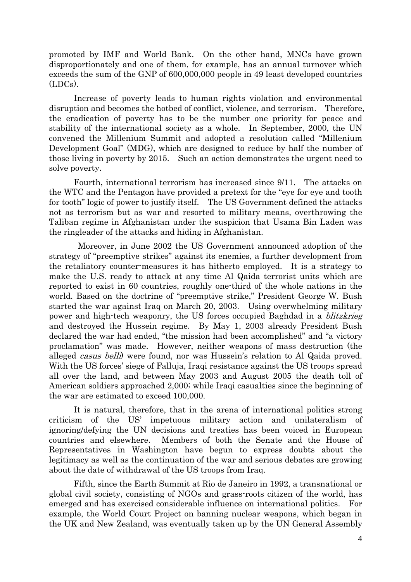promoted by IMF and World Bank. On the other hand, MNCs have grown disproportionately and one of them, for example, has an annual turnover which exceeds the sum of the GNP of 600,000,000 people in 49 least developed countries (LDCs).

Increase of poverty leads to human rights violation and environmental disruption and becomes the hotbed of conflict, violence, and terrorism. Therefore, the eradication of poverty has to be the number one priority for peace and stability of the international society as a whole. In September, 2000, the UN convened the Millenium Summit and adopted a resolution called "Millenium Development Goal" (MDG), which are designed to reduce by half the number of those living in poverty by 2015. Such an action demonstrates the urgent need to solve poverty.

Fourth, international terrorism has increased since 9/11. The attacks on the WTC and the Pentagon have provided a pretext for the "eye for eye and tooth for tooth" logic of power to justify itself. The US Government defined the attacks not as terrorism but as war and resorted to military means, overthrowing the Taliban regime in Afghanistan under the suspicion that Usama Bin Laden was the ringleader of the attacks and hiding in Afghanistan.

Moreover, in June 2002 the US Government announced adoption of the strategy of "preemptive strikes" against its enemies, a further development from the retaliatory counter-measures it has hitherto employed. It is a strategy to make the U.S. ready to attack at any time Al Qaida terrorist units which are reported to exist in 60 countries, roughly one-third of the whole nations in the world. Based on the doctrine of "preemptive strike," President George W. Bush started the war against Iraq on March 20, 2003. Using overwhelming military power and high-tech weaponry, the US forces occupied Baghdad in a *blitzkrieg* and destroyed the Hussein regime. By May 1, 2003 already President Bush declared the war had ended, "the mission had been accomplished" and "a victory proclamation" was made. However, neither weapons of mass destruction (the alleged casus belli) were found, nor was Hussein's relation to Al Qaida proved. With the US forces' siege of Falluja, Iraqi resistance against the US troops spread all over the land, and between May 2003 and August 2005 the death toll of American soldiers approached 2,000; while Iraqi casualties since the beginning of the war are estimated to exceed 100,000.

It is natural, therefore, that in the arena of international politics strong criticism of the US' impetuous military action and unilateralism of ignoring/defying the UN decisions and treaties has been voiced in European countries and elsewhere. Members of both the Senate and the House of Representatives in Washington have begun to express doubts about the legitimacy as well as the continuation of the war and serious debates are growing about the date of withdrawal of the US troops from Iraq.

Fifth, since the Earth Summit at Rio de Janeiro in 1992, a transnational or global civil society, consisting of NGOs and grass-roots citizen of the world, has emerged and has exercised considerable influence on international politics. For example, the World Court Project on banning nuclear weapons, which began in the UK and New Zealand, was eventually taken up by the UN General Assembly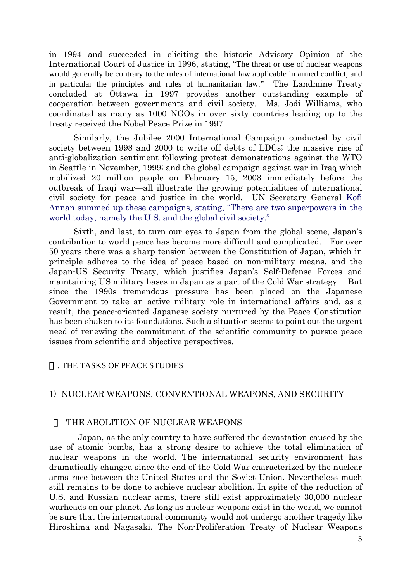in 1994 and succeeded in eliciting the historic Advisory Opinion of the International Court of Justice in 1996, stating, "The threat or use of nuclear weapons would generally be contrary to the rules of international law applicable in armed conflict, and in particular the principles and rules of humanitarian law." The Landmine Treaty concluded at Ottawa in 1997 provides another outstanding example of cooperation between governments and civil society. Ms. Jodi Williams, who coordinated as many as 1000 NGOs in over sixty countries leading up to the treaty received the Nobel Peace Prize in 1997.

Similarly, the Jubilee 2000 International Campaign conducted by civil society between 1998 and 2000 to write off debts of LDCs; the massive rise of anti-globalization sentiment following protest demonstrations against the WTO in Seattle in November, 1999; and the global campaign against war in Iraq which mobilized 20 million people on February 15, 2003 immediately before the outbreak of Iraqi war—all illustrate the growing potentialities of international civil society for peace and justice in the world. UN Secretary General Kofi Annan summed up these campaigns, stating, "There are two superpowers in the world today, namely the U.S. and the global civil society."

Sixth, and last, to turn our eyes to Japan from the global scene, Japan's contribution to world peace has become more difficult and complicated. For over 50 years there was a sharp tension between the Constitution of Japan, which in principle adheres to the idea of peace based on non-military means, and the Japan-US Security Treaty, which justifies Japan's Self-Defense Forces and maintaining US military bases in Japan as a part of the Cold War strategy. But since the 1990s tremendous pressure has been placed on the Japanese Government to take an active military role in international affairs and, as a result, the peace-oriented Japanese society nurtured by the Peace Constitution has been shaken to its foundations. Such a situation seems to point out the urgent need of renewing the commitment of the scientific community to pursue peace issues from scientific and objective perspectives.

#### . THE TASKS OF PEACE STUDIES

#### 1) NUCLEAR WEAPONS, CONVENTIONAL WEAPONS, AND SECURITY

#### THE ABOLITION OF NUCLEAR WEAPONS

Japan, as the only country to have suffered the devastation caused by the use of atomic bombs, has a strong desire to achieve the total elimination of nuclear weapons in the world. The international security environment has dramatically changed since the end of the Cold War characterized by the nuclear arms race between the United States and the Soviet Union. Nevertheless much still remains to be done to achieve nuclear abolition. In spite of the reduction of U.S. and Russian nuclear arms, there still exist approximately 30,000 nuclear warheads on our planet. As long as nuclear weapons exist in the world, we cannot be sure that the international community would not undergo another tragedy like Hiroshima and Nagasaki. The Non-Proliferation Treaty of Nuclear Weapons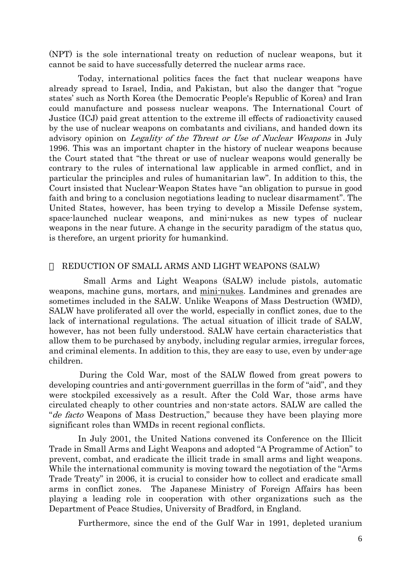(NPT) is the sole international treaty on reduction of nuclear weapons, but it cannot be said to have successfully deterred the nuclear arms race.

Today, international politics faces the fact that nuclear weapons have already spread to Israel, India, and Pakistan, but also the danger that "rogue states' such as North Korea (the Democratic People's Republic of Korea) and Iran could manufacture and possess nuclear weapons. The International Court of Justice (ICJ) paid great attention to the extreme ill effects of radioactivity caused by the use of nuclear weapons on combatants and civilians, and handed down its advisory opinion on *Legality of the Threat or Use of Nuclear Weapons* in July 1996. This was an important chapter in the history of nuclear weapons because the Court stated that "the threat or use of nuclear weapons would generally be contrary to the rules of international law applicable in armed conflict, and in particular the principles and rules of humanitarian law". In addition to this, the Court insisted that Nuclear-Weapon States have "an obligation to pursue in good faith and bring to a conclusion negotiations leading to nuclear disarmament". The United States, however, has been trying to develop a Missile Defense system, space-launched nuclear weapons, and mini-nukes as new types of nuclear weapons in the near future. A change in the security paradigm of the status quo, is therefore, an urgent priority for humankind.

#### REDUCTION OF SMALL ARMS AND LIGHT WEAPONS (SALW)

Small Arms and Light Weapons (SALW) include pistols, automatic weapons, machine guns, mortars, and mini-nukes. Landmines and grenades are sometimes included in the SALW. Unlike Weapons of Mass Destruction (WMD), SALW have proliferated all over the world, especially in conflict zones, due to the lack of international regulations. The actual situation of illicit trade of SALW, however, has not been fully understood. SALW have certain characteristics that allow them to be purchased by anybody, including regular armies, irregular forces, and criminal elements. In addition to this, they are easy to use, even by under-age children.

During the Cold War, most of the SALW flowed from great powers to developing countries and anti-government guerrillas in the form of "aid", and they were stockpiled excessively as a result. After the Cold War, those arms have circulated cheaply to other countries and non-state actors. SALW are called the "*de facto* Weapons of Mass Destruction," because they have been playing more significant roles than WMDs in recent regional conflicts.

In July 2001, the United Nations convened its Conference on the Illicit Trade in Small Arms and Light Weapons and adopted "A Programme of Action" to prevent, combat, and eradicate the illicit trade in small arms and light weapons. While the international community is moving toward the negotiation of the "Arms Trade Treaty" in 2006, it is crucial to consider how to collect and eradicate small arms in conflict zones. The Japanese Ministry of Foreign Affairs has been playing a leading role in cooperation with other organizations such as the Department of Peace Studies, University of Bradford, in England.

Furthermore, since the end of the Gulf War in 1991, depleted uranium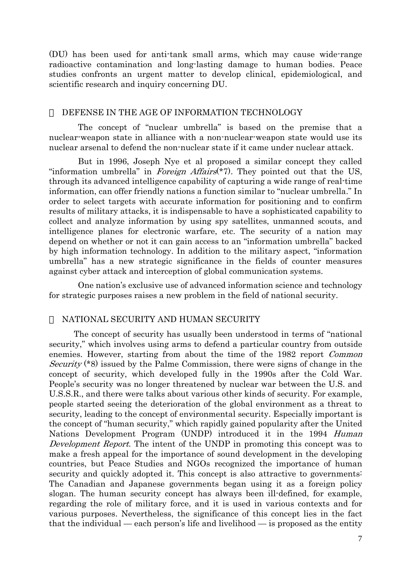(DU) has been used for anti-tank small arms, which may cause wide-range radioactive contamination and long-lasting damage to human bodies. Peace studies confronts an urgent matter to develop clinical, epidemiological, and scientific research and inquiry concerning DU.

#### DEFENSE IN THE AGE OF INFORMATION TECHNOLOGY

The concept of "nuclear umbrella" is based on the premise that a nuclear-weapon state in alliance with a non-nuclear-weapon state would use its nuclear arsenal to defend the non-nuclear state if it came under nuclear attack.

But in 1996, Joseph Nye et al proposed a similar concept they called "information umbrella" in Foreign Affairs( $*7$ ). They pointed out that the US, through its advanced intelligence capability of capturing a wide range of real-time information, can offer friendly nations a function similar to "nuclear umbrella." In order to select targets with accurate information for positioning and to confirm results of military attacks, it is indispensable to have a sophisticated capability to collect and analyze information by using spy satellites, unmanned scouts, and intelligence planes for electronic warfare, etc. The security of a nation may depend on whether or not it can gain access to an "information umbrella" backed by high information technology. In addition to the military aspect, "information umbrella" has a new strategic significance in the fields of counter measures against cyber attack and interception of global communication systems.

One nation's exclusive use of advanced information science and technology for strategic purposes raises a new problem in the field of national security.

#### NATIONAL SECURITY AND HUMAN SECURITY

The concept of security has usually been understood in terms of "national security," which involves using arms to defend a particular country from outside enemies. However, starting from about the time of the 1982 report Common Security (\*8) issued by the Palme Commission, there were signs of change in the concept of security, which developed fully in the 1990s after the Cold War. People's security was no longer threatened by nuclear war between the U.S. and U.S.S.R., and there were talks about various other kinds of security. For example, people started seeing the deterioration of the global environment as a threat to security, leading to the concept of environmental security. Especially important is the concept of "human security," which rapidly gained popularity after the United Nations Development Program (UNDP) introduced it in the 1994 Human Development Report. The intent of the UNDP in promoting this concept was to make a fresh appeal for the importance of sound development in the developing countries, but Peace Studies and NGOs recognized the importance of human security and quickly adopted it. This concept is also attractive to governments: The Canadian and Japanese governments began using it as a foreign policy slogan. The human security concept has always been ill-defined, for example, regarding the role of military force, and it is used in various contexts and for various purposes. Nevertheless, the significance of this concept lies in the fact that the individual — each person's life and livelihood — is proposed as the entity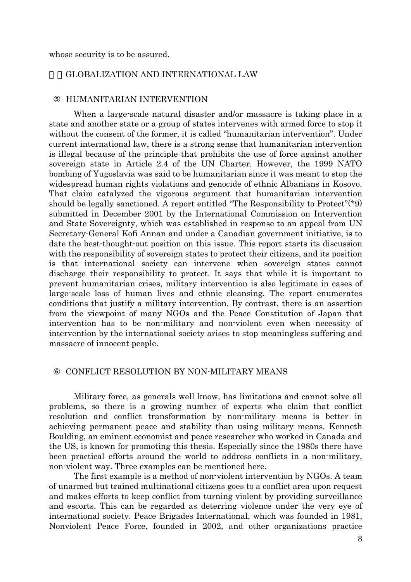whose security is to be assured.

#### 2)GLOBALIZATION AND INTERNATIONAL LAW

#### HUMANITARIAN INTERVENTION

When a large-scale natural disaster and/or massacre is taking place in a state and another state or a group of states intervenes with armed force to stop it without the consent of the former, it is called "humanitarian intervention". Under current international law, there is a strong sense that humanitarian intervention is illegal because of the principle that prohibits the use of force against another sovereign state in Article 2.4 of the UN Charter. However, the 1999 NATO bombing of Yugoslavia was said to be humanitarian since it was meant to stop the widespread human rights violations and genocide of ethnic Albanians in Kosovo. That claim catalyzed the vigorous argument that humanitarian intervention should be legally sanctioned. A report entitled "The Responsibility to Protect"(\*9) submitted in December 2001 by the International Commission on Intervention and State Sovereignty, which was established in response to an appeal from UN Secretary-General Kofi Annan and under a Canadian government initiative, is to date the best-thought-out position on this issue. This report starts its discussion with the responsibility of sovereign states to protect their citizens, and its position is that international society can intervene when sovereign states cannot discharge their responsibility to protect. It says that while it is important to prevent humanitarian crises, military intervention is also legitimate in cases of large-scale loss of human lives and ethnic cleansing. The report enumerates conditions that justify a military intervention. By contrast, there is an assertion from the viewpoint of many NGOs and the Peace Constitution of Japan that intervention has to be non-military and non-violent even when necessity of intervention by the international society arises to stop meaningless suffering and massacre of innocent people.

#### CONFLICT RESOLUTION BY NON-MILITARY MEANS

Military force, as generals well know, has limitations and cannot solve all problems, so there is a growing number of experts who claim that conflict resolution and conflict transformation by non-military means is better in achieving permanent peace and stability than using military means. Kenneth Boulding, an eminent economist and peace researcher who worked in Canada and the US, is known for promoting this thesis. Especially since the 1980s there have been practical efforts around the world to address conflicts in a non-military, non-violent way. Three examples can be mentioned here.

The first example is a method of non-violent intervention by NGOs. A team of unarmed but trained multinational citizens goes to a conflict area upon request and makes efforts to keep conflict from turning violent by providing surveillance and escorts. This can be regarded as deterring violence under the very eye of international society. Peace Brigades International, which was founded in 1981, Nonviolent Peace Force, founded in 2002, and other organizations practice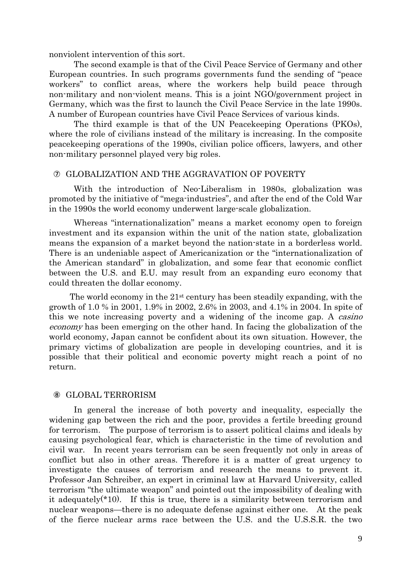nonviolent intervention of this sort.

The second example is that of the Civil Peace Service of Germany and other European countries. In such programs governments fund the sending of "peace workers" to conflict areas, where the workers help build peace through non-military and non-violent means. This is a joint NGO/government project in Germany, which was the first to launch the Civil Peace Service in the late 1990s. A number of European countries have Civil Peace Services of various kinds.

The third example is that of the UN Peacekeeping Operations (PKOs), where the role of civilians instead of the military is increasing. In the composite peacekeeping operations of the 1990s, civilian police officers, lawyers, and other non-military personnel played very big roles.

#### GLOBALIZATION AND THE AGGRAVATION OF POVERTY

With the introduction of Neo-Liberalism in 1980s, globalization was promoted by the initiative of "mega-industries", and after the end of the Cold War in the 1990s the world economy underwent large-scale globalization.

Whereas "internationalization" means a market economy open to foreign investment and its expansion within the unit of the nation state, globalization means the expansion of a market beyond the nation-state in a borderless world. There is an undeniable aspect of Americanization or the "internationalization of the American standard" in globalization, and some fear that economic conflict between the U.S. and E.U. may result from an expanding euro economy that could threaten the dollar economy.

The world economy in the 21st century has been steadily expanding, with the growth of 1.0 % in 2001, 1.9% in 2002, 2.6% in 2003, and 4.1% in 2004. In spite of this we note increasing poverty and a widening of the income gap. A casino economy has been emerging on the other hand. In facing the globalization of the world economy, Japan cannot be confident about its own situation. However, the primary victims of globalization are people in developing countries, and it is possible that their political and economic poverty might reach a point of no return.

#### GLOBAL TERRORISM

In general the increase of both poverty and inequality, especially the widening gap between the rich and the poor, provides a fertile breeding ground for terrorism. The purpose of terrorism is to assert political claims and ideals by causing psychological fear, which is characteristic in the time of revolution and civil war. In recent years terrorism can be seen frequently not only in areas of conflict but also in other areas. Therefore it is a matter of great urgency to investigate the causes of terrorism and research the means to prevent it. Professor Jan Schreiber, an expert in criminal law at Harvard University, called terrorism "the ultimate weapon" and pointed out the impossibility of dealing with it adequately( $*10$ ). If this is true, there is a similarity between terrorism and nuclear weapons—there is no adequate defense against either one. At the peak of the fierce nuclear arms race between the U.S. and the U.S.S.R. the two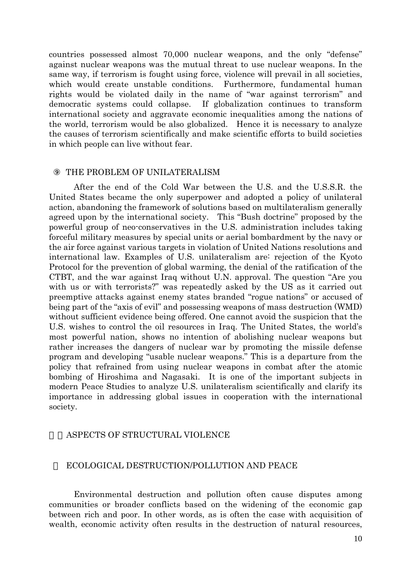countries possessed almost 70,000 nuclear weapons, and the only "defense" against nuclear weapons was the mutual threat to use nuclear weapons. In the same way, if terrorism is fought using force, violence will prevail in all societies, which would create unstable conditions. Furthermore, fundamental human rights would be violated daily in the name of "war against terrorism" and democratic systems could collapse. If globalization continues to transform international society and aggravate economic inequalities among the nations of the world, terrorism would be also globalized. Hence it is necessary to analyze the causes of terrorism scientifically and make scientific efforts to build societies in which people can live without fear.

#### THE PROBLEM OF UNILATERALISM

After the end of the Cold War between the U.S. and the U.S.S.R. the United States became the only superpower and adopted a policy of unilateral action, abandoning the framework of solutions based on multilateralism generally agreed upon by the international society. This "Bush doctrine" proposed by the powerful group of neo-conservatives in the U.S. administration includes taking forceful military measures by special units or aerial bombardment by the navy or the air force against various targets in violation of United Nations resolutions and international law. Examples of U.S. unilateralism are: rejection of the Kyoto Protocol for the prevention of global warming, the denial of the ratification of the CTBT, and the war against Iraq without U.N. approval. The question "Are you with us or with terrorists?" was repeatedly asked by the US as it carried out preemptive attacks against enemy states branded "rogue nations" or accused of being part of the "axis of evil" and possessing weapons of mass destruction (WMD) without sufficient evidence being offered. One cannot avoid the suspicion that the U.S. wishes to control the oil resources in Iraq. The United States, the world's most powerful nation, shows no intention of abolishing nuclear weapons but rather increases the dangers of nuclear war by promoting the missile defense program and developing "usable nuclear weapons." This is a departure from the policy that refrained from using nuclear weapons in combat after the atomic bombing of Hiroshima and Nagasaki. It is one of the important subjects in modern Peace Studies to analyze U.S. unilateralism scientifically and clarify its importance in addressing global issues in cooperation with the international society.

#### ASPECTS OF STRUCTURAL VIOLENCE

#### ECOLOGICAL DESTRUCTION/POLLUTION AND PEACE

Environmental destruction and pollution often cause disputes among communities or broader conflicts based on the widening of the economic gap between rich and poor. In other words, as is often the case with acquisition of wealth, economic activity often results in the destruction of natural resources,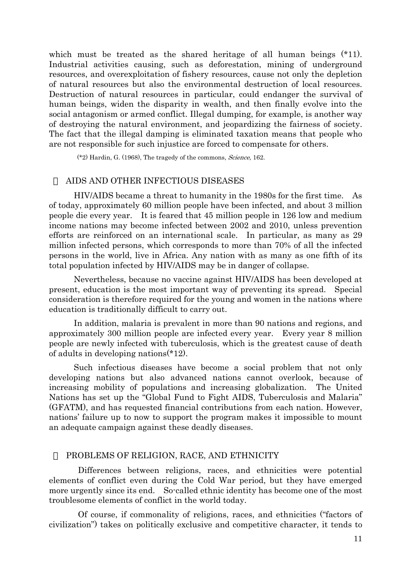which must be treated as the shared heritage of all human beings  $(*11)$ . Industrial activities causing, such as deforestation, mining of underground resources, and overexploitation of fishery resources, cause not only the depletion of natural resources but also the environmental destruction of local resources. Destruction of natural resources in particular, could endanger the survival of human beings, widen the disparity in wealth, and then finally evolve into the social antagonism or armed conflict. Illegal dumping, for example, is another way of destroying the natural environment, and jeopardizing the fairness of society. The fact that the illegal damping is eliminated taxation means that people who are not responsible for such injustice are forced to compensate for others.

(\*2) Hardin, G. (1968), The tragedy of the commons, Science, 162.

#### AIDS AND OTHER INFECTIOUS DISEASES

HIV/AIDS became a threat to humanity in the 1980s for the first time. As of today, approximately 60 million people have been infected, and about 3 million people die every year. It is feared that 45 million people in 126 low and medium income nations may become infected between 2002 and 2010, unless prevention efforts are reinforced on an international scale. In particular, as many as 29 million infected persons, which corresponds to more than 70% of all the infected persons in the world, live in Africa. Any nation with as many as one fifth of its total population infected by HIV/AIDS may be in danger of collapse.

Nevertheless, because no vaccine against HIV/AIDS has been developed at present, education is the most important way of preventing its spread. Special consideration is therefore required for the young and women in the nations where education is traditionally difficult to carry out.

In addition, malaria is prevalent in more than 90 nations and regions, and approximately 300 million people are infected every year. Every year 8 million people are newly infected with tuberculosis, which is the greatest cause of death of adults in developing nations(\*12).

Such infectious diseases have become a social problem that not only developing nations but also advanced nations cannot overlook, because of increasing mobility of populations and increasing globalization. The United Nations has set up the "Global Fund to Fight AIDS, Tuberculosis and Malaria" (GFATM), and has requested financial contributions from each nation. However, nations' failure up to now to support the program makes it impossible to mount an adequate campaign against these deadly diseases.

#### PROBLEMS OF RELIGION, RACE, AND ETHNICITY

Differences between religions, races, and ethnicities were potential elements of conflict even during the Cold War period, but they have emerged more urgently since its end. So-called ethnic identity has become one of the most troublesome elements of conflict in the world today.

Of course, if commonality of religions, races, and ethnicities ("factors of civilization") takes on politically exclusive and competitive character, it tends to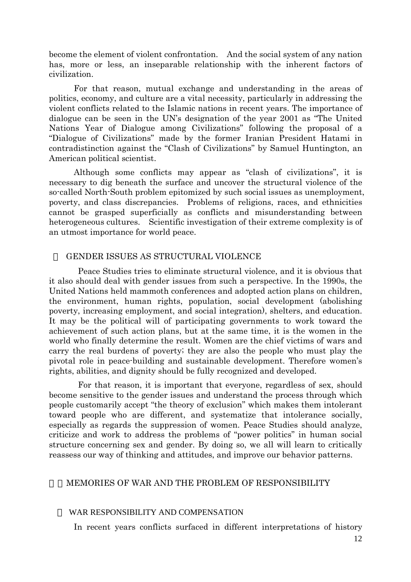become the element of violent confrontation. And the social system of any nation has, more or less, an inseparable relationship with the inherent factors of civilization.

For that reason, mutual exchange and understanding in the areas of politics, economy, and culture are a vital necessity, particularly in addressing the violent conflicts related to the Islamic nations in recent years. The importance of dialogue can be seen in the UN's designation of the year 2001 as "The United Nations Year of Dialogue among Civilizations" following the proposal of a "Dialogue of Civilizations" made by the former Iranian President Hatami in contradistinction against the "Clash of Civilizations" by Samuel Huntington, an American political scientist.

Although some conflicts may appear as "clash of civilizations", it is necessary to dig beneath the surface and uncover the structural violence of the so-called North-South problem epitomized by such social issues as unemployment, poverty, and class discrepancies. Problems of religions, races, and ethnicities cannot be grasped superficially as conflicts and misunderstanding between heterogeneous cultures. Scientific investigation of their extreme complexity is of an utmost importance for world peace.

#### GENDER ISSUES AS STRUCTURAL VIOLENCE

Peace Studies tries to eliminate structural violence, and it is obvious that it also should deal with gender issues from such a perspective. In the 1990s, the United Nations held mammoth conferences and adopted action plans on children, the environment, human rights, population, social development (abolishing poverty, increasing employment, and social integration), shelters, and education. It may be the political will of participating governments to work toward the achievement of such action plans, but at the same time, it is the women in the world who finally determine the result. Women are the chief victims of wars and carry the real burdens of poverty; they are also the people who must play the pivotal role in peace-building and sustainable development. Therefore women's rights, abilities, and dignity should be fully recognized and developed.

For that reason, it is important that everyone, regardless of sex, should become sensitive to the gender issues and understand the process through which people customarily accept "the theory of exclusion" which makes them intolerant toward people who are different, and systematize that intolerance socially, especially as regards the suppression of women. Peace Studies should analyze, criticize and work to address the problems of "power politics" in human social structure concerning sex and gender. By doing so, we all will learn to critically reassess our way of thinking and attitudes, and improve our behavior patterns.

#### 4)MEMORIES OF WAR AND THE PROBLEM OF RESPONSIBILITY

#### WAR RESPONSIBILITY AND COMPENSATION

In recent years conflicts surfaced in different interpretations of history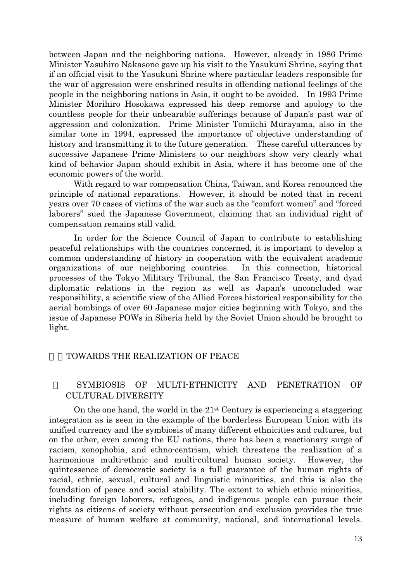between Japan and the neighboring nations. However, already in 1986 Prime Minister Yasuhiro Nakasone gave up his visit to the Yasukuni Shrine, saying that if an official visit to the Yasukuni Shrine where particular leaders responsible for the war of aggression were enshrined results in offending national feelings of the people in the neighboring nations in Asia, it ought to be avoided. In 1993 Prime Minister Morihiro Hosokawa expressed his deep remorse and apology to the countless people for their unbearable sufferings because of Japan's past war of aggression and colonization. Prime Minister Tomiichi Murayama, also in the similar tone in 1994, expressed the importance of objective understanding of history and transmitting it to the future generation. These careful utterances by successive Japanese Prime Ministers to our neighbors show very clearly what kind of behavior Japan should exhibit in Asia, where it has become one of the economic powers of the world.

With regard to war compensation China, Taiwan, and Korea renounced the principle of national reparations. However, it should be noted that in recent years over 70 cases of victims of the war such as the "comfort women" and "forced laborers" sued the Japanese Government, claiming that an individual right of compensation remains still valid.

In order for the Science Council of Japan to contribute to establishing peaceful relationships with the countries concerned, it is important to develop a common understanding of history in cooperation with the equivalent academic organizations of our neighboring countries. In this connection, historical processes of the Tokyo Military Tribunal, the San Francisco Treaty, and dyad diplomatic relations in the region as well as Japan's unconcluded war responsibility, a scientific view of the Allied Forces historical responsibility for the aerial bombings of over 60 Japanese major cities beginning with Tokyo, and the issue of Japanese POWs in Siberia held by the Soviet Union should be brought to light.

#### 5)TOWARDS THE REALIZATION OF PEACE

#### SYMBIOSIS OF MULTI-ETHNICITY AND PENETRATION OF CULTURAL DIVERSITY

On the one hand, the world in the  $21^{st}$  Century is experiencing a staggering integration as is seen in the example of the borderless European Union with its unified currency and the symbiosis of many different ethnicities and cultures, but on the other, even among the EU nations, there has been a reactionary surge of racism, xenophobia, and ethno-centrism, which threatens the realization of a harmonious multi-ethnic and multi-cultural human society. However, the quintessence of democratic society is a full guarantee of the human rights of racial, ethnic, sexual, cultural and linguistic minorities, and this is also the foundation of peace and social stability. The extent to which ethnic minorities, including foreign laborers, refugees, and indigenous people can pursue their rights as citizens of society without persecution and exclusion provides the true measure of human welfare at community, national, and international levels.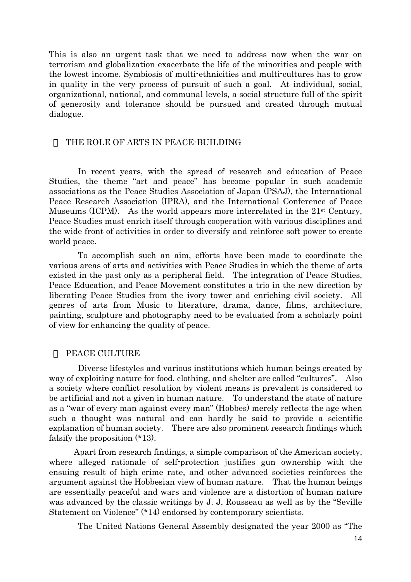This is also an urgent task that we need to address now when the war on terrorism and globalization exacerbate the life of the minorities and people with the lowest income. Symbiosis of multi-ethnicities and multi-cultures has to grow in quality in the very process of pursuit of such a goal. At individual, social, organizational, national, and communal levels, a social structure full of the spirit of generosity and tolerance should be pursued and created through mutual dialogue.

#### THE ROLE OF ARTS IN PEACE-BUILDING

In recent years, with the spread of research and education of Peace Studies, the theme "art and peace" has become popular in such academic associations as the Peace Studies Association of Japan (PSAJ), the International Peace Research Association (IPRA), and the International Conference of Peace Museums (ICPM). As the world appears more interrelated in the 21<sup>st</sup> Century, Peace Studies must enrich itself through cooperation with various disciplines and the wide front of activities in order to diversify and reinforce soft power to create world peace.

To accomplish such an aim, efforts have been made to coordinate the various areas of arts and activities with Peace Studies in which the theme of arts existed in the past only as a peripheral field. The integration of Peace Studies, Peace Education, and Peace Movement constitutes a trio in the new direction by liberating Peace Studies from the ivory tower and enriching civil society. All genres of arts from Music to literature, drama, dance, films, architecture, painting, sculpture and photography need to be evaluated from a scholarly point of view for enhancing the quality of peace.

#### PEACE CULTURE

Diverse lifestyles and various institutions which human beings created by way of exploiting nature for food, clothing, and shelter are called "cultures". Also a society where conflict resolution by violent means is prevalent is considered to be artificial and not a given in human nature. To understand the state of nature as a "war of every man against every man" (Hobbes) merely reflects the age when such a thought was natural and can hardly be said to provide a scientific explanation of human society. There are also prominent research findings which falsify the proposition (\*13).

Apart from research findings, a simple comparison of the American society, where alleged rationale of self-protection justifies gun ownership with the ensuing result of high crime rate, and other advanced societies reinforces the argument against the Hobbesian view of human nature. That the human beings are essentially peaceful and wars and violence are a distortion of human nature was advanced by the classic writings by J. J. Rousseau as well as by the "Seville Statement on Violence" (\*14) endorsed by contemporary scientists.

The United Nations General Assembly designated the year 2000 as "The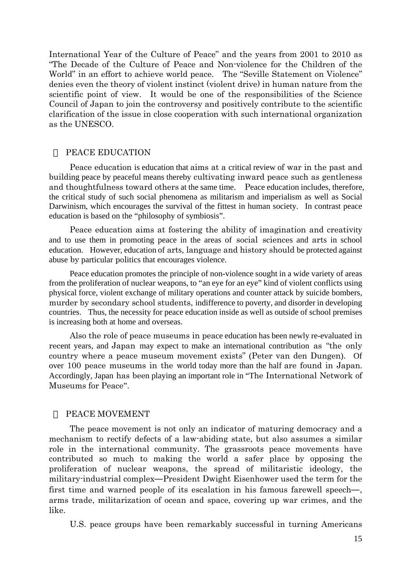International Year of the Culture of Peace" and the years from 2001 to 2010 as "The Decade of the Culture of Peace and Non-violence for the Children of the World" in an effort to achieve world peace. The "Seville Statement on Violence" denies even the theory of violent instinct (violent drive) in human nature from the scientific point of view. It would be one of the responsibilities of the Science Council of Japan to join the controversy and positively contribute to the scientific clarification of the issue in close cooperation with such international organization as the UNESCO.

#### PEACE EDUCATION

Peace education is education that aims at a critical review of war in the past and building peace by peaceful means thereby cultivating inward peace such as gentleness and thoughtfulness toward others at the same time. Peace education includes, therefore, the critical study of such social phenomena as militarism and imperialism as well as Social Darwinism, which encourages the survival of the fittest in human society. In contrast peace education is based on the "philosophy of symbiosis".

Peace education aims at fostering the ability of imagination and creativity and to use them in promoting peace in the areas of social sciences and arts in school education. However, education of arts, language and history should be protected against abuse by particular politics that encourages violence.

Peace education promotes the principle of non-violence sought in a wide variety of areas from the proliferation of nuclear weapons, to "an eye for an eye" kind of violent conflicts using physical force, violent exchange of military operations and counter attack by suicide bombers, murder by secondary school students, indifference to poverty, and disorder in developing countries. Thus, the necessity for peace education inside as well as outside of school premises is increasing both at home and overseas.

Also the role of peace museums in peace education has been newly re-evaluated in recent years, and Japan may expect to make an international contribution as "the only country where a peace museum movement exists" (Peter van den Dungen). Of over 100 peace museums in the world today more than the half are found in Japan. Accordingly, Japan has been playing an important role in "The International Network of Museums for Peace".

#### PEACE MOVEMENT

The peace movement is not only an indicator of maturing democracy and a mechanism to rectify defects of a law-abiding state, but also assumes a similar role in the international community. The grassroots peace movements have contributed so much to making the world a safer place by opposing the proliferation of nuclear weapons, the spread of militaristic ideology, the military-industrial complex President Dwight Eisenhower used the term for the first time and warned people of its escalation in his famous farewell speech , arms trade, militarization of ocean and space, covering up war crimes, and the like.

U.S. peace groups have been remarkably successful in turning Americans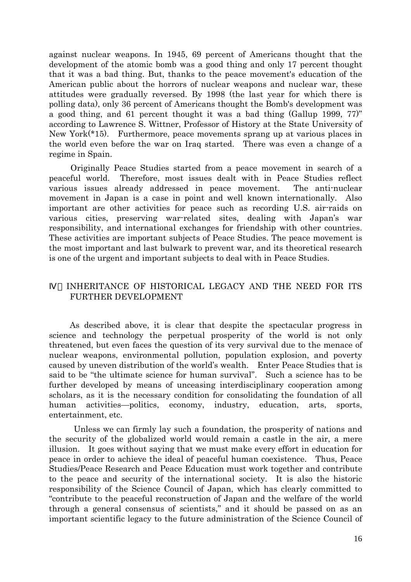against nuclear weapons. In 1945, 69 percent of Americans thought that the development of the atomic bomb was a good thing and only 17 percent thought that it was a bad thing. But, thanks to the peace movement's education of the American public about the horrors of nuclear weapons and nuclear war, these attitudes were gradually reversed. By 1998 (the last year for which there is polling data), only 36 percent of Americans thought the Bomb's development was a good thing, and 61 percent thought it was a bad thing (Gallup 1999, 77)" according to Lawrence S. Wittner, Professor of History at the State University of New York(\*15). Furthermore, peace movements sprang up at various places in the world even before the war on Iraq started. There was even a change of a regime in Spain.

Originally Peace Studies started from a peace movement in search of a peaceful world. Therefore, most issues dealt with in Peace Studies reflect various issues already addressed in peace movement. The anti-nuclear movement in Japan is a case in point and well known internationally. Also important are other activities for peace such as recording U.S. air-raids on various cities, preserving war-related sites, dealing with Japan's war responsibility, and international exchanges for friendship with other countries. These activities are important subjects of Peace Studies. The peace movement is the most important and last bulwark to prevent war, and its theoretical research is one of the urgent and important subjects to deal with in Peace Studies.

#### INHERITANCE OF HISTORICAL LEGACY AND THE NEED FOR ITS FURTHER DEVELOPMENT

As described above, it is clear that despite the spectacular progress in science and technology the perpetual prosperity of the world is not only threatened, but even faces the question of its very survival due to the menace of nuclear weapons, environmental pollution, population explosion, and poverty caused by uneven distribution of the world's wealth. Enter Peace Studies that is said to be "the ultimate science for human survival". Such a science has to be further developed by means of unceasing interdisciplinary cooperation among scholars, as it is the necessary condition for consolidating the foundation of all human activities—politics, economy, industry, education, arts, sports, entertainment, etc.

Unless we can firmly lay such a foundation, the prosperity of nations and the security of the globalized world would remain a castle in the air, a mere illusion. It goes without saying that we must make every effort in education for peace in order to achieve the ideal of peaceful human coexistence. Thus, Peace Studies/Peace Research and Peace Education must work together and contribute to the peace and security of the international society. It is also the historic responsibility of the Science Council of Japan, which has clearly committed to "contribute to the peaceful reconstruction of Japan and the welfare of the world through a general consensus of scientists," and it should be passed on as an important scientific legacy to the future administration of the Science Council of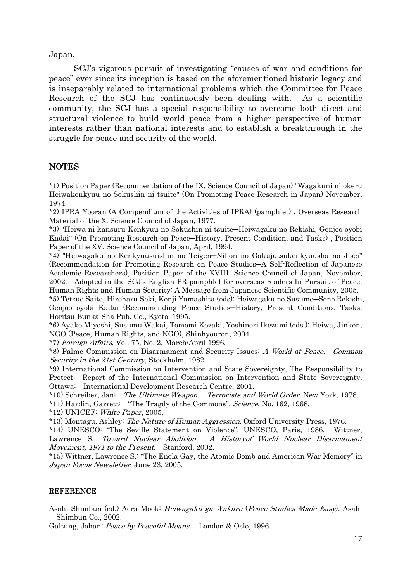Japan.

SCJ's vigorous pursuit of investigating "causes of war and conditions for peace" ever since its inception is based on the aforementioned historic legacy and is inseparably related to international problems which the Committee for Peace Research of the SCJ has continuously been dealing with. As a scientific community, the SCJ has a special responsibility to overcome both direct and structural violence to build world peace from a higher perspective of human interests rather than national interests and to establish a breakthrough in the struggle for peace and security of the world.

#### **NOTES**

\*1) Position Paper (Recommendation of the IX. Science Council of Japan) "Wagakuni ni okeru Heiwakenkyuu no Sokushin ni tsuite" (On Promoting Peace Research in Japan) November, 1974

\*2) IPRA Yooran (A Compendium of the Activities of IPRA) (pamphlet) , Overseas Research Material of the X. Science Council of Japan, 1977.

\*3) "Heiwa ni kansuru Kenkyuu no Sokushin ni tsuite─Heiwagaku no Rekishi, Genjoo oyobi Kadai" (On Promoting Research on Peace—History, Present Condition, and Tasks), Position Paper of the XV. Science Council of Japan, April, 1994.

\*4) "Heiwagaku no Kenkyuusuishin no Teigen─Nihon no Gakujutsukenkyuusha no Jisei" (Recommendation for Promoting Research on Peace Studies─A Self-Reflection of Japanese Academic Researchers), Position Paper of the XVIII. Science Council of Japan, November, 2002. Adopted in the SCJ's English PR pamphlet for overseas readers In Pursuit of Peace, Human Rights and Human Security: A Message from Japanese Scientific Community, 2005.

\*5) Tetsuo Saito, Hiroharu Seki, Kenji Yamashita (eds): Heiwagaku no Susume─Sono Rekishi, Genjoo oyobi Kadai (Recommending Peace Studies─History, Present Conditions, Tasks. Horitsu Bunka Sha Pub. Co., Kyoto, 1995.

\*6) Ayako Miyoshi, Susumu Wakai, Tomomi Kozaki, Yoshinori Ikezumi (eds.): Heiwa, Jinken, NGO (Peace, Human Rights, and NGO), Shinhyouron, 2004.

\*7) Foreign Affairs, Vol. 75, No. 2, March/April 1996.

\*8) Palme Commission on Disarmament and Security Issues: A World at Peace. Common Security in the 21st Century, Stockholm, 1982.

\*9) International Commission on Intervention and State Sovereignty, The Responsibility to Protect: Report of the International Commission on Intervention and State Sovereignty, Ottawa: International Development Research Centre, 2001.

\*10) Schreiber, Jan: The Ultimate Weapon. Terrorists and World Order, New York, 1978.

\*11) Hardin, Garrett: "The Tragdy of the Commons", Science, No. 162, 1968.

\*12) UNICEF: White Paper, 2005.

\*13) Montagu, Ashley: *The Nature of Human Aggression*, Oxford University Press, 1976.

\*14) UNESCO: "The Seville Statement on Violence", UNESCO, Paris, 1986. Wittner, Lawrence S.: Toward Nuclear Abolition. A Historyof World Nuclear Disarmament Movement, 1971 to the Present. Stanford, 2002.

\*15) Wittner, Lawrence S.: "The Enola Gay, the Atomic Bomb and American War Memory" in Japan Focus Newsletter, June 23, 2005.

#### **REFERENCE**

Asahi Shimbun (ed.) Aera Mook: Heiwagaku ga Wakaru (Peace Studies Made Easy), Asahi Shimbun Co., 2002.

Galtung, Johan: Peace by Peaceful Means. London & Oslo, 1996.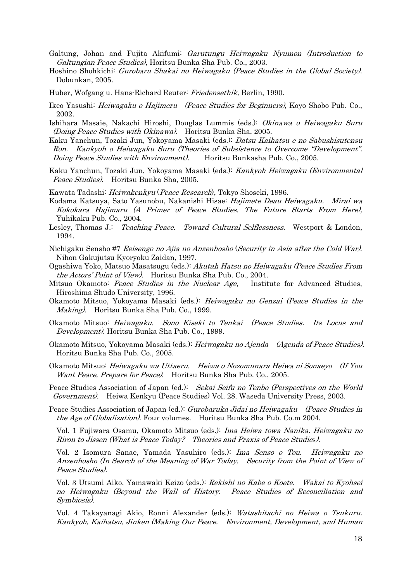- Galtung, Johan and Fujita Akifumi: Garutungu Heiwagaku Nyumon (Introduction to Galtungian Peace Studies), Horitsu Bunka Sha Pub. Co., 2003.
- Hoshino Shohkichi: Gurobaru Shakai no Heiwagaku (Peace Studies in the Global Society). Dobunkan, 2005.
- Huber, Wofgang u. Hans-Richard Reuter: Friedensethik, Berlin, 1990.
- Ikeo Yasushi: *Heiwagaku o Hajimeru (Peace Studies for Beginners)*, Koyo Shobo Pub. Co., 2002.
- Ishihara Masaie, Nakachi Hiroshi, Douglas Lummis (eds.): Okinawa o Heiwagaku Suru (Doing Peace Studies with Okinawa). Horitsu Bunka Sha, 2005.
- Ron. Kankyoh o Heiwagaku Suru (Theories of Subsistence to Overcome "Development". Kaku Yanchun, Tozaki Jun, Yokoyama Masaki (eds.): Datsu Kaihatsu e no Sabushisutensu Doing Peace Studies with Environment). Horitsu Bunkasha Pub. Co., 2005.
- Kaku Yanchun, Tozaki Jun, Yokoyama Masaki (eds.): Kankyoh Heiwagaku (Environmental Peace Studies). Horitsu Bunka Sha, 2005.

Kawata Tadashi: *Heiwakenkyu (Peace Research*), Tokyo Shoseki, 1996.

- Kokokara Hajimaru (A Primer of Peace Studies. The Future Starts From Here), Kodama Katsuya, Sato Yasunobu, Nakanishi Hisae: Hajimete Deau Heiwagaku. Mirai wa Yuhikaku Pub. Co., 2004.
- Lesley, Thomas J.: Teaching Peace. Toward Cultural Selflessness. Westport & London, 1994.
- Nichigaku Sensho #7 Reisengo no Ajia no Anzenhosho (Security in Asia after the Cold War). Nihon Gakujutsu Kyoryoku Zaidan, 1997.
- Ogashiwa Yoko, Matsuo Masatsugu (eds.): Akutah Hatsu no Heiwagaku (Peace Studies From the Actors' Point of View). Horitsu Bunka Sha Pub. Co., 2004.
- Mitsuo Okamoto: Peace Studies in the Nuclear Age, Institute for Advanced Studies, Hiroshima Shudo University, 1996.
- Okamoto Mitsuo, Yokoyama Masaki (eds.): Heiwagaku no Genzai (Peace Studies in the Making). Horitsu Bunka Sha Pub. Co., 1999.
- Okamoto Mitsuo: Heiwagaku. Sono Kiseki to Tenkai (Peace Studies. Its Locus and Development). Horitsu Bunka Sha Pub. Co., 1999.
- Okamoto Mitsuo, Yokoyama Masaki (eds.): Heiwagaku no Ajenda (Agenda of Peace Studies). Horitsu Bunka Sha Pub. Co., 2005.
- Okamoto Mitsuo: Heiwagaku wa Uttaeru. Heiwa o Nozomunara Heiwa ni Sonaeyo (If You Want Peace, Prepare for Peace). Horitsu Bunka Sha Pub. Co., 2005.
- Peace Studies Association of Japan (ed.): Sekai Seifu no Tenbo (Perspectives on the World Government). Heiwa Kenkyu (Peace Studies) Vol. 28. Waseda University Press, 2003.
- Peace Studies Association of Japan (ed.): Gurobaruka Jidai no Heiwagaku (Peace Studies in the Age of Globalization). Four volumes. Horitsu Bunka Sha Pub. Co.m 2004.

Vol. 1 Fujiwara Osamu, Okamoto Mitsuo (eds.): Ima Heiwa towa Nanika. Heiwagaku no Riron to Jissen (What is Peace Today? Theories and Praxis of Peace Studies).

Vol. 2 Isomura Sanae, Yamada Yasuhiro (eds.): Ima Senso o Tou. Heiwagaku no Anzenhosho (In Search of the Meaning of War Today, Security from the Point of View of Peace Studies).

no Heiwagaku (Beyond the Wall of History. Peace Studies of Reconciliation and Vol. 3 Utsumi Aiko, Yamawaki Keizo (eds.): Rekishi no Kabe o Koete. Wakai to Kyohsei Symbiosis).

Vol. 4 Takayanagi Akio, Ronni Alexander (eds.): Watashitachi no Heiwa o Tsukuru. Kankyoh, Kaihatsu, Jinken (Making Our Peace. Environment, Development, and Human